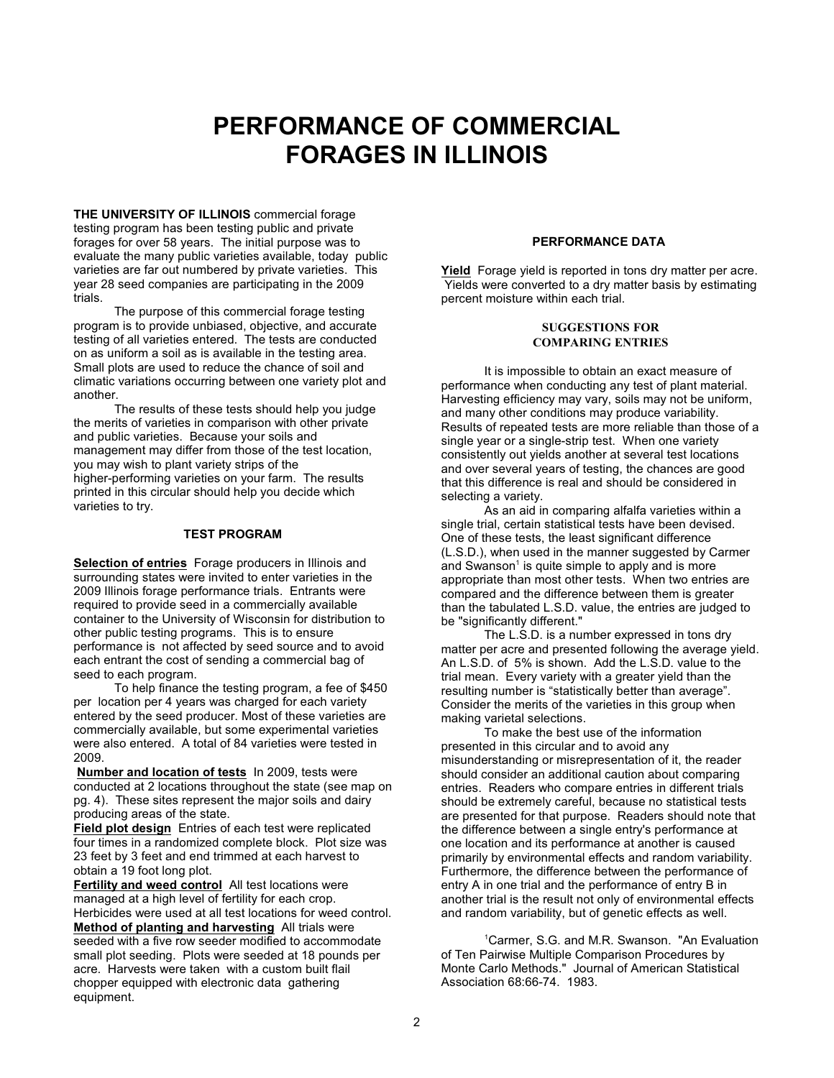# **PERFORMANCE OF COMMERCIAL FORAGES IN ILLINOIS**

**THE UNIVERSITY OF ILLINOIS** commercial forage testing program has been testing public and private forages for over 58 years. The initial purpose was to evaluate the many public varieties available, today public varieties are far out numbered by private varieties. This year 28 seed companies are participating in the 2009 trials.

The purpose of this commercial forage testing program is to provide unbiased, objective, and accurate testing of all varieties entered. The tests are conducted on as uniform a soil as is available in the testing area. Small plots are used to reduce the chance of soil and climatic variations occurring between one variety plot and another.

The results of these tests should help you judge the merits of varieties in comparison with other private and public varieties. Because your soils and management may differ from those of the test location, you may wish to plant variety strips of the higher-performing varieties on your farm. The results printed in this circular should help you decide which varieties to try.

## **TEST PROGRAM**

**Selection of entries** Forage producers in Illinois and surrounding states were invited to enter varieties in the 2009 Illinois forage performance trials. Entrants were required to provide seed in a commercially available container to the University of Wisconsin for distribution to other public testing programs. This is to ensure performance is not affected by seed source and to avoid each entrant the cost of sending a commercial bag of seed to each program.

To help finance the testing program, a fee of \$450 per location per 4 years was charged for each variety entered by the seed producer. Most of these varieties are commercially available, but some experimental varieties were also entered. A total of 84 varieties were tested in 2009.

**Number and location of tests** In 2009, tests were conducted at 2 locations throughout the state (see map on pg. 4). These sites represent the major soils and dairy producing areas of the state.

**Field plot design** Entries of each test were replicated four times in a randomized complete block. Plot size was 23 feet by 3 feet and end trimmed at each harvest to obtain a 19 foot long plot.

**Fertility and weed control** All test locations were managed at a high level of fertility for each crop. Herbicides were used at all test locations for weed control. **Method of planting and harvesting** All trials were seeded with a five row seeder modified to accommodate small plot seeding. Plots were seeded at 18 pounds per acre. Harvests were taken with a custom built flail chopper equipped with electronic data gathering equipment.

# **PERFORMANCE DATA**

**Yield** Forage yield is reported in tons dry matter per acre. Yields were converted to a dry matter basis by estimating percent moisture within each trial.

# **SUGGESTIONS FOR COMPARING ENTRIES**

It is impossible to obtain an exact measure of performance when conducting any test of plant material. Harvesting efficiency may vary, soils may not be uniform, and many other conditions may produce variability. Results of repeated tests are more reliable than those of a single year or a single-strip test. When one variety consistently out yields another at several test locations and over several years of testing, the chances are good that this difference is real and should be considered in selecting a variety.

As an aid in comparing alfalfa varieties within a single trial, certain statistical tests have been devised. One of these tests, the least significant difference (L.S.D.), when used in the manner suggested by Carmer and Swanson<sup>1</sup> is quite simple to apply and is more appropriate than most other tests. When two entries are compared and the difference between them is greater than the tabulated L.S.D. value, the entries are judged to be "significantly different."

The L.S.D. is a number expressed in tons dry matter per acre and presented following the average yield. An L.S.D. of 5% is shown. Add the L.S.D. value to the trial mean. Every variety with a greater yield than the resulting number is "statistically better than average". Consider the merits of the varieties in this group when making varietal selections.

To make the best use of the information presented in this circular and to avoid any misunderstanding or misrepresentation of it, the reader should consider an additional caution about comparing entries. Readers who compare entries in different trials should be extremely careful, because no statistical tests are presented for that purpose. Readers should note that the difference between a single entry's performance at one location and its performance at another is caused primarily by environmental effects and random variability. Furthermore, the difference between the performance of entry A in one trial and the performance of entry B in another trial is the result not only of environmental effects and random variability, but of genetic effects as well.

<sup>1</sup>Carmer, S.G. and M.R. Swanson. "An Evaluation of Ten Pairwise Multiple Comparison Procedures by Monte Carlo Methods." Journal of American Statistical Association 68:66-74. 1983.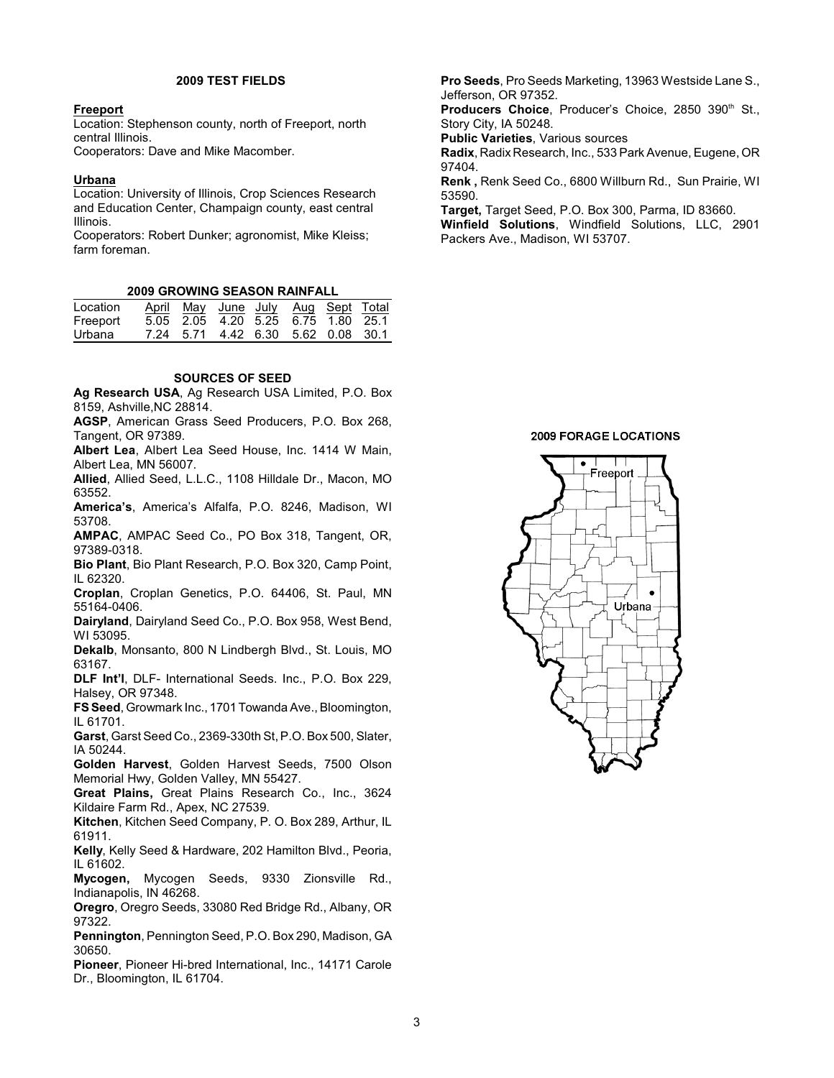## **2009 TEST FIELDS**

## **Freeport**

Location: Stephenson county, north of Freeport, north central Illinois.

Cooperators: Dave and Mike Macomber.

#### **Urbana**

Location: University of Illinois, Crop Sciences Research and Education Center, Champaign county, east central Illinois.

Cooperators: Robert Dunker; agronomist, Mike Kleiss; farm foreman.

### **2009 GROWING SEASON RAINFALL**

| Location |  | April May June July Aug Sept Total |  |  |
|----------|--|------------------------------------|--|--|
| Freeport |  | 5.05 2.05 4.20 5.25 6.75 1.80 25.1 |  |  |
| Urbana   |  | 7.24 5.71 4.42 6.30 5.62 0.08 30.1 |  |  |

#### **SOURCES OF SEED**

**Ag Research USA**, Ag Research USA Limited, P.O. Box 8159, Ashville,NC 28814.

**AGSP**, American Grass Seed Producers, P.O. Box 268, Tangent, OR 97389.

**Albert Lea**, Albert Lea Seed House, Inc. 1414 W Main, Albert Lea, MN 56007.

**Allied**, Allied Seed, L.L.C., 1108 Hilldale Dr., Macon, MO 63552.

**America's**, America's Alfalfa, P.O. 8246, Madison, WI 53708.

**AMPAC**, AMPAC Seed Co., PO Box 318, Tangent, OR, 97389-0318.

**Bio Plant**, Bio Plant Research, P.O. Box 320, Camp Point, IL 62320.

**Croplan**, Croplan Genetics, P.O. 64406, St. Paul, MN 55164-0406.

**Dairyland**, Dairyland Seed Co., P.O. Box 958, West Bend, WI 53095.

**Dekalb**, Monsanto, 800 N Lindbergh Blvd., St. Louis, MO 63167.

**DLF Int'l**, DLF- International Seeds. Inc., P.O. Box 229, Halsey, OR 97348.

**FS Seed**, Growmark Inc., 1701 Towanda Ave., Bloomington, IL 61701.

**Garst**, Garst Seed Co., 2369-330th St, P.O. Box 500, Slater, IA 50244.

**Golden Harvest**, Golden Harvest Seeds, 7500 Olson Memorial Hwy, Golden Valley, MN 55427.

**Great Plains,** Great Plains Research Co., Inc., 3624 Kildaire Farm Rd., Apex, NC 27539.

**Kitchen**, Kitchen Seed Company, P. O. Box 289, Arthur, IL 61911.

**Kelly**, Kelly Seed & Hardware, 202 Hamilton Blvd., Peoria, IL 61602.

**Mycogen,** Mycogen Seeds, 9330 Zionsville Rd., Indianapolis, IN 46268.

**Oregro**, Oregro Seeds, 33080 Red Bridge Rd., Albany, OR 97322.

**Pennington**, Pennington Seed, P.O. Box 290, Madison, GA 30650.

**Pioneer**, Pioneer Hi-bred International, Inc., 14171 Carole Dr., Bloomington, IL 61704.

**Pro Seeds**, Pro Seeds Marketing, 13963 Westside Lane S., Jefferson, OR 97352.

Producers Choice, Producer's Choice, 2850 390th St., Story City, IA 50248.

**Public Varieties**, Various sources

**Radix**, Radix Research, Inc., 533 Park Avenue, Eugene, OR 97404.

**Renk ,** Renk Seed Co., 6800 Willburn Rd., Sun Prairie, WI 53590.

**Target,** Target Seed, P.O. Box 300, Parma, ID 83660.

**Winfield Solutions**, Windfield Solutions, LLC, 2901 Packers Ave., Madison, WI 53707.

# **2009 FORAGE LOCATIONS**

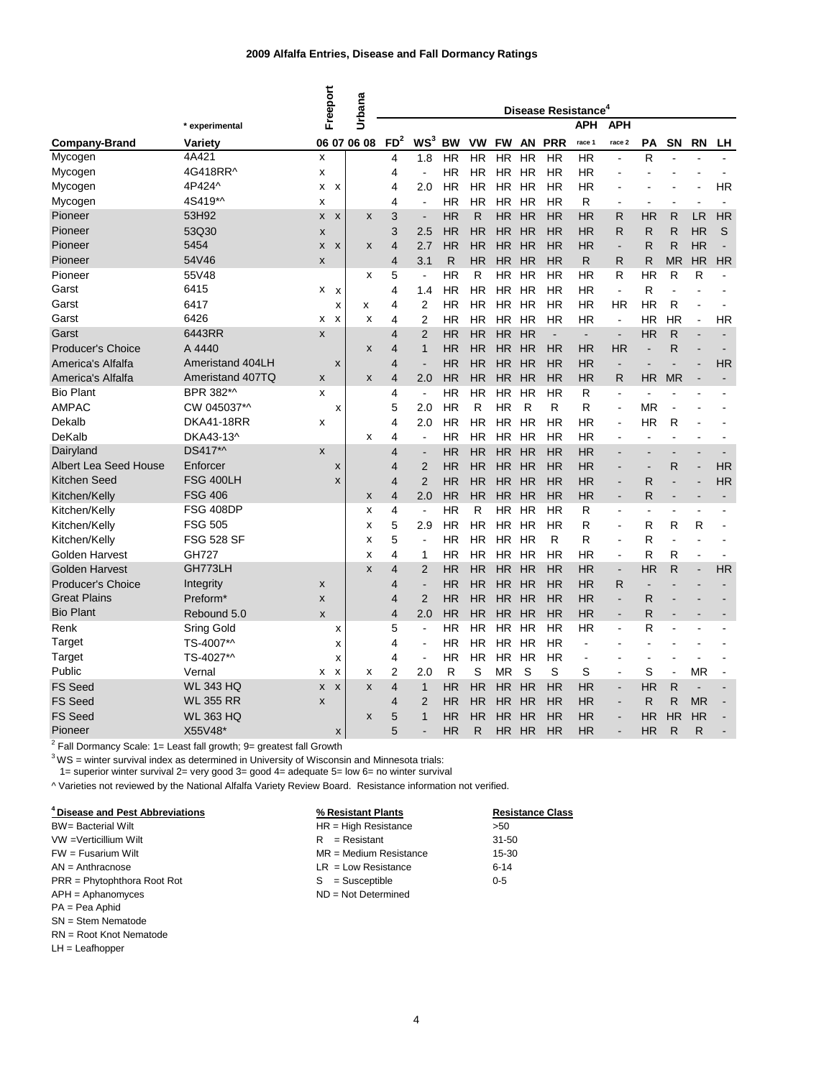|                              |                                  | Freeport                       | <b>Urbana</b> |                 | Disease Resistance <sup>4</sup> |              |              |           |              |            |                          |                          |           |                |                |                          |
|------------------------------|----------------------------------|--------------------------------|---------------|-----------------|---------------------------------|--------------|--------------|-----------|--------------|------------|--------------------------|--------------------------|-----------|----------------|----------------|--------------------------|
| <b>Company-Brand</b>         | * experimental<br><b>Variety</b> |                                | 06 07 06 08   | FD <sup>2</sup> | WS <sup>3</sup>                 | <b>BW</b>    | <b>VW</b>    | <b>FW</b> | <b>AN</b>    | <b>PRR</b> | <b>APH</b><br>race 1     | <b>APH</b><br>race 2     | <b>PA</b> | <b>SN</b>      | <b>RN</b>      | LH                       |
| Mycogen                      | 4A421                            | X                              |               | 4               | 1.8                             | <b>HR</b>    | <b>HR</b>    | <b>HR</b> | <b>HR</b>    | HR         | <b>HR</b>                | $\overline{\phantom{0}}$ | R         |                |                |                          |
| Mycogen                      | 4G418RR^                         | x                              |               | 4               |                                 | <b>HR</b>    | <b>HR</b>    | <b>HR</b> | <b>HR</b>    | HR         | <b>HR</b>                |                          |           |                |                |                          |
| Mycogen                      | 4P424^                           | X<br>X                         |               | 4               | 2.0                             | <b>HR</b>    | <b>HR</b>    | <b>HR</b> | <b>HR</b>    | ΗR         | <b>HR</b>                |                          |           |                |                | <b>HR</b>                |
| Mycogen                      | 4S419*^                          | x                              |               | 4               |                                 | <b>HR</b>    | <b>HR</b>    | HR        | <b>HR</b>    | ΗR         | R                        | ۰                        |           |                |                |                          |
| Pioneer                      | 53H92                            | $\boldsymbol{\mathsf{x}}$<br>X | X             | 3               | $\overline{\phantom{a}}$        | <b>HR</b>    | R            | <b>HR</b> | <b>HR</b>    | <b>HR</b>  | <b>HR</b>                | R                        | <b>HR</b> | R              | <b>LR</b>      | <b>HR</b>                |
| Pioneer                      | 53Q30                            | X                              |               | 3               | 2.5                             | <b>HR</b>    | <b>HR</b>    | <b>HR</b> | <b>HR</b>    | <b>HR</b>  | <b>HR</b>                | R                        | R         | R              | <b>HR</b>      | S                        |
| Pioneer                      | 5454                             | X<br>X                         | X             | 4               | 2.7                             | <b>HR</b>    | <b>HR</b>    | <b>HR</b> | <b>HR</b>    | HR         | <b>HR</b>                | -                        | R         | R              | <b>HR</b>      |                          |
| Pioneer                      | 54V46                            | X                              |               | 4               | 3.1                             | R            | <b>HR</b>    | <b>HR</b> | <b>HR</b>    | <b>HR</b>  | R                        | R                        | R         | <b>MR</b>      | <b>HR</b>      | <b>HR</b>                |
| Pioneer                      | 55V48                            |                                | X             | 5               | $\overline{\phantom{a}}$        | <b>HR</b>    | R            | <b>HR</b> | <b>HR</b>    | HR         | <b>HR</b>                | R                        | <b>HR</b> | R              | R              |                          |
| Garst                        | 6415                             | x<br>X                         |               | 4               | 1.4                             | <b>HR</b>    | <b>HR</b>    | <b>HR</b> | <b>HR</b>    | <b>HR</b>  | <b>HR</b>                | $\overline{\phantom{a}}$ | R         |                |                |                          |
| Garst                        | 6417                             | x                              | х             | 4               | $\overline{2}$                  | <b>HR</b>    | <b>HR</b>    | <b>HR</b> | <b>HR</b>    | ΗR         | <b>HR</b>                | <b>HR</b>                | <b>HR</b> | R              |                |                          |
| Garst                        | 6426                             | X<br>x                         | X             | 4               | 2                               | <b>HR</b>    | <b>HR</b>    | HR        | <b>HR</b>    | ΗR         | <b>HR</b>                | $\blacksquare$           | ΗR        | <b>HR</b>      | $\blacksquare$ | <b>HR</b>                |
| Garst                        | 6443RR                           | X                              |               | 4               | $\overline{2}$                  | <b>HR</b>    | <b>HR</b>    | <b>HR</b> | <b>HR</b>    |            | $\overline{\phantom{a}}$ | $\overline{\phantom{a}}$ | <b>HR</b> | R              |                |                          |
| Producer's Choice            | A 4440                           |                                | X             | 4               | 1                               | HR           | <b>HR</b>    | <b>HR</b> | <b>HR</b>    | <b>HR</b>  | <b>HR</b>                | <b>HR</b>                |           | R              |                |                          |
| America's Alfalfa            | Ameristand 404LH                 | X                              |               | 4               |                                 | HR           | <b>HR</b>    | <b>HR</b> | <b>HR</b>    | HR         | <b>HR</b>                | -                        |           |                |                | <b>HR</b>                |
| America's Alfalfa            | Ameristand 407TQ                 | X                              | X             | 4               | 2.0                             | <b>HR</b>    | <b>HR</b>    | <b>HR</b> | <b>HR</b>    | <b>HR</b>  | <b>HR</b>                | R                        | <b>HR</b> | <b>MR</b>      |                |                          |
| <b>Bio Plant</b>             | BPR 382*^                        | X                              |               | 4               | $\overline{\phantom{a}}$        | <b>HR</b>    | <b>HR</b>    | <b>HR</b> | <b>HR</b>    | HR         | R                        | ۰                        |           |                |                |                          |
| <b>AMPAC</b>                 | CW 045037*^                      | X                              |               | 5               | 2.0                             | <b>HR</b>    | R            | <b>HR</b> | $\mathsf{R}$ | R          | R                        | ä,                       | <b>MR</b> |                |                |                          |
| Dekalb                       | <b>DKA41-18RR</b>                | х                              |               | 4               | 2.0                             | <b>HR</b>    | <b>HR</b>    | <b>HR</b> | <b>HR</b>    | <b>HR</b>  | <b>HR</b>                | -                        | <b>HR</b> | R              |                |                          |
| <b>DeKalb</b>                | DKA43-13^                        |                                | X             | 4               |                                 | <b>HR</b>    | <b>HR</b>    | HR        | <b>HR</b>    | ΗR         | <b>HR</b>                | ۰                        |           |                |                |                          |
| Dairyland                    | DS417*^                          | X                              |               | 4               |                                 | <b>HR</b>    | <b>HR</b>    | <b>HR</b> | <b>HR</b>    | <b>HR</b>  | <b>HR</b>                | ۰                        |           |                |                |                          |
| <b>Albert Lea Seed House</b> | Enforcer                         | X                              |               | 4               | $\overline{2}$                  | HR           | <b>HR</b>    | <b>HR</b> | <b>HR</b>    | <b>HR</b>  | <b>HR</b>                | ٠                        |           | R              |                | <b>HR</b>                |
| Kitchen Seed                 | <b>FSG 400LH</b>                 | X                              |               | 4               | $\overline{2}$                  | <b>HR</b>    | <b>HR</b>    | <b>HR</b> | <b>HR</b>    | HR         | <b>HR</b>                | ٠                        | R         | -              |                | <b>HR</b>                |
| Kitchen/Kelly                | <b>FSG 406</b>                   |                                | X             | 4               | 2.0                             | <b>HR</b>    | <b>HR</b>    | <b>HR</b> | <b>HR</b>    | <b>HR</b>  | <b>HR</b>                | -                        | R         | -              |                | $\overline{\phantom{a}}$ |
| Kitchen/Kelly                | <b>FSG 408DP</b>                 |                                | х             | 4               |                                 | <b>HR</b>    | R            | <b>HR</b> | <b>HR</b>    | ΗR         | R                        | ۰                        |           | $\blacksquare$ |                |                          |
| Kitchen/Kelly                | <b>FSG 505</b>                   |                                | х             | 5               | 2.9                             | <b>HR</b>    | <b>HR</b>    | <b>HR</b> | <b>HR</b>    | HR         | R                        | ۰                        | R         | R              | R              |                          |
| Kitchen/Kelly                | <b>FSG 528 SF</b>                |                                | х             | 5               |                                 | HR           | HR           | HR        | <b>HR</b>    | R          | R                        | ۰                        | R         | ٠              |                |                          |
| <b>Golden Harvest</b>        | <b>GH727</b>                     |                                | х             | 4               | 1                               | HR           | ΗR           | ΗR        | <b>HR</b>    | ΗR         | <b>HR</b>                | ۰                        | R         | R              |                |                          |
| <b>Golden Harvest</b>        | GH773LH                          |                                | X             | 4               | 2                               | <b>HR</b>    | <b>HR</b>    | <b>HR</b> | <b>HR</b>    | <b>HR</b>  | <b>HR</b>                |                          | <b>HR</b> | R              |                | <b>HR</b>                |
| Producer's Choice            | Integrity                        | X                              |               | 4               |                                 | <b>HR</b>    | <b>HR</b>    | <b>HR</b> | HR           | <b>HR</b>  | <b>HR</b>                | R                        |           |                |                |                          |
| <b>Great Plains</b>          | Preform*                         | X                              |               | 4               | 2                               | <b>HR</b>    | <b>HR</b>    | HR        | <b>HR</b>    | <b>HR</b>  | <b>HR</b>                | $\overline{\phantom{0}}$ | R         |                |                |                          |
| <b>Bio Plant</b>             | Rebound 5.0                      | X                              |               | 4               | 2.0                             | <b>HR</b>    | <b>HR</b>    | <b>HR</b> | <b>HR</b>    | <b>HR</b>  | <b>HR</b>                | ٠                        | R         |                |                |                          |
| Renk                         | <b>Sring Gold</b>                | X                              |               | 5               |                                 | HR.          | <b>HR</b>    | <b>HR</b> | HR           | <b>HR</b>  | <b>HR</b>                | ٠                        | R         |                |                |                          |
| Target                       | TS-4007*^                        | х                              |               | 4               | $\overline{\phantom{a}}$        | <b>HR</b>    | <b>HR</b>    | HR HR     |              | <b>HR</b>  |                          |                          |           |                |                |                          |
| Target                       | TS-4027*^                        | x                              |               | 4               | ۰                               | <b>HR</b>    | <b>HR</b>    |           | HR HR        | <b>HR</b>  | $\overline{\phantom{a}}$ |                          |           |                |                |                          |
| Public                       | Vernal                           | $\boldsymbol{\mathsf{x}}$<br>х | x             | 2               | 2.0                             | $\mathsf{R}$ | S            | <b>MR</b> | S            | S          | S                        | ۰                        | S         |                | <b>MR</b>      |                          |
| <b>FS Seed</b>               | <b>WL 343 HQ</b>                 | X<br>$\mathsf{x}$              | X             | 4               | $\mathbf 1$                     | <b>HR</b>    | <b>HR</b>    | <b>HR</b> | <b>HR</b>    | <b>HR</b>  | <b>HR</b>                | $\overline{\phantom{0}}$ | <b>HR</b> | R              |                |                          |
| <b>FS Seed</b>               | <b>WL 355 RR</b>                 | X                              |               | 4               | $\overline{2}$                  | <b>HR</b>    | <b>HR</b>    | <b>HR</b> | HR           | <b>HR</b>  | <b>HR</b>                | ٠                        | R         | $\mathsf{R}$   | <b>MR</b>      |                          |
| <b>FS Seed</b>               | <b>WL 363 HQ</b>                 |                                | X             | 5               | $\mathbf 1$                     | HR           | <b>HR</b>    |           | HR HR        | <b>HR</b>  | <b>HR</b>                | $\blacksquare$           | <b>HR</b> | <b>HR</b>      | <b>HR</b>      |                          |
| Pioneer                      | X55V48*                          | $\mathsf{x}$                   |               | 5               |                                 | <b>HR</b>    | $\mathsf{R}$ |           | HR HR        | <b>HR</b>  | <b>HR</b>                | ٠                        | <b>HR</b> | $\mathsf{R}$   | $\mathsf{R}$   |                          |

 $2$  Fall Dormancy Scale: 1= Least fall growth; 9= greatest fall Growth

 $3WS$  = winter survival index as determined in University of Wisconsin and Minnesota trials:

1= superior winter survival 2= very good 3= good 4= adequate 5= low 6= no winter survival

^ Varieties not reviewed by the National Alfalfa Variety Review Board. Resistance information not verified.

| <sup>4</sup> Disease and Pest Abbreviations<br>% Resistant Plants |
|-------------------------------------------------------------------|
|-------------------------------------------------------------------|

|                               | 7013001010111111011100   | <u></u>  |
|-------------------------------|--------------------------|----------|
| <b>BW</b> = Bacterial Wilt    | $HR = High Resistance$   | >50      |
| VW = Verticillium Wilt        | $R =$ Resistant          | $31 -$   |
| $FW =$ Fusarium Wilt          | $MR = Medium Resistance$ | $15 -$   |
| $AN = Anthracnose$            | $LR = Low Resistance$    | $6 - 14$ |
| $PRR = Phytophthora Root Rot$ | $S =$ Susceptible        | $0 - 5$  |
| $APH =$ Aphanomyces           | $ND = Not Determined$    |          |
| $PA = Pea$ Aphid              |                          |          |

SN = Stem Nematode

RN = Root Knot Nematode

LH = Leafhopper

 $\overline{\text{HR}}$  = High Resistance  $\overline{\text{S0}}$  $R =$ Resistant 31-50  $MR = Medium Resistance$ <br>  $LR = Low Resistance$  6-14

**Resistance Class**